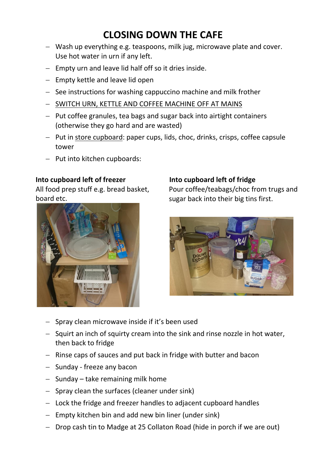# **CLOSING DOWN THE CAFE**

- Wash up everything e.g. teaspoons, milk jug, microwave plate and cover. Use hot water in urn if any left.
- $-$  Empty urn and leave lid half off so it dries inside.
- $-$  Empty kettle and leave lid open
- See instructions for washing cappuccino machine and milk frother
- SWITCH URN, KETTLE AND COFFEE MACHINE OFF AT MAINS
- $-$  Put coffee granules, tea bags and sugar back into airtight containers (otherwise they go hard and are wasted)
- Put in store cupboard: paper cups, lids, choc, drinks, crisps, coffee capsule tower
- $-$  Put into kitchen cupboards:

## **Into cupboard left of freezer**

All food prep stuff e.g. bread basket, board etc.



#### **Into cupboard left of fridge**

Pour coffee/teabags/choc from trugs and sugar back into their big tins first.



- $-$  Spray clean microwave inside if it's been used
- $-$  Squirt an inch of squirty cream into the sink and rinse nozzle in hot water, then back to fridge
- $-$  Rinse caps of sauces and put back in fridge with butter and bacon
- $-$  Sunday freeze any bacon
- $-$  Sunday take remaining milk home
- $-$  Spray clean the surfaces (cleaner under sink)
- Lock the fridge and freezer handles to adjacent cupboard handles
- $-$  Empty kitchen bin and add new bin liner (under sink)
- $-$  Drop cash tin to Madge at 25 Collaton Road (hide in porch if we are out)